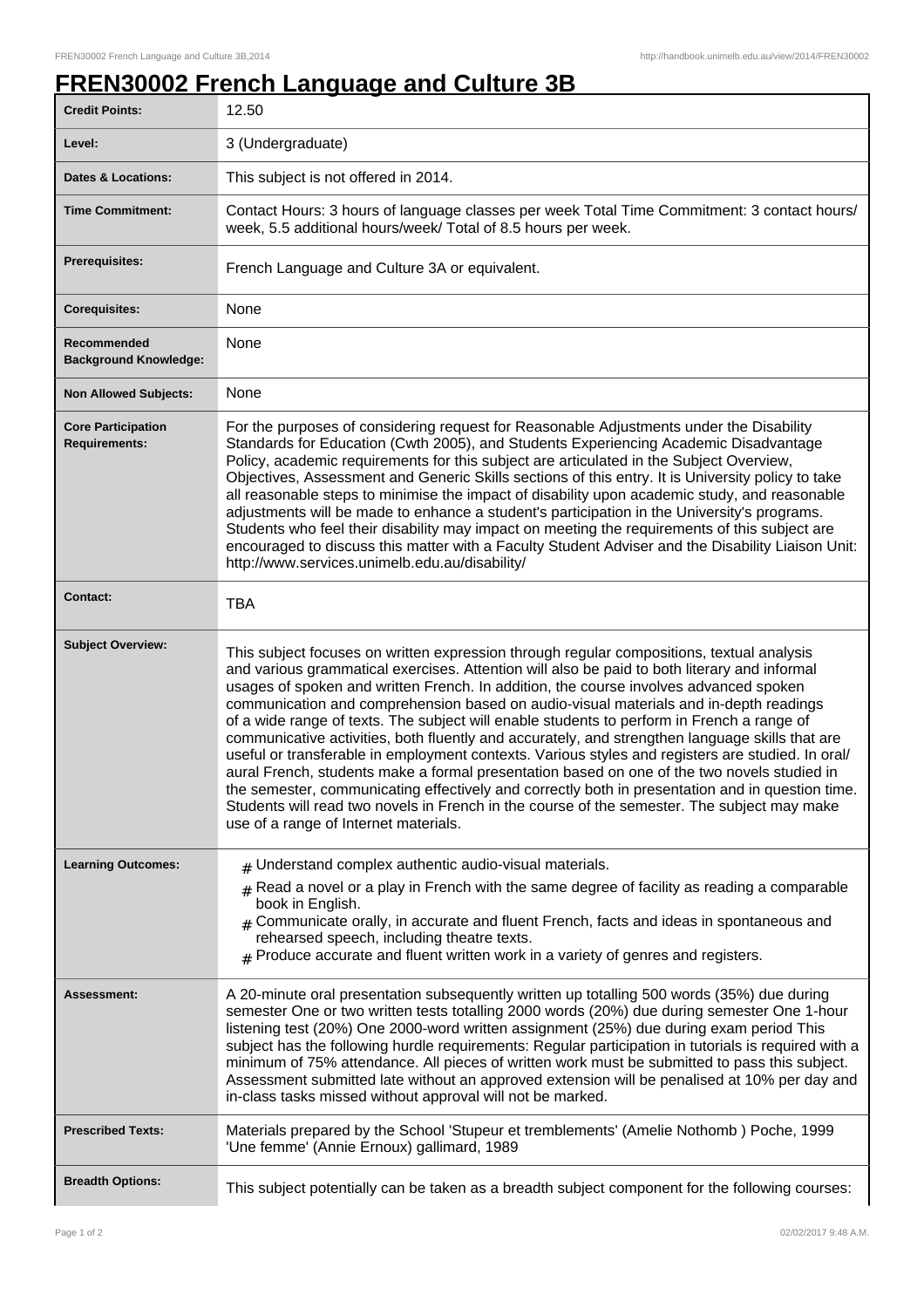## **FREN30002 French Language and Culture 3B**

| <b>Credit Points:</b>                             | 12.50                                                                                                                                                                                                                                                                                                                                                                                                                                                                                                                                                                                                                                                                                                                                                                                                                                                                                                                                                                                                                        |
|---------------------------------------------------|------------------------------------------------------------------------------------------------------------------------------------------------------------------------------------------------------------------------------------------------------------------------------------------------------------------------------------------------------------------------------------------------------------------------------------------------------------------------------------------------------------------------------------------------------------------------------------------------------------------------------------------------------------------------------------------------------------------------------------------------------------------------------------------------------------------------------------------------------------------------------------------------------------------------------------------------------------------------------------------------------------------------------|
| Level:                                            | 3 (Undergraduate)                                                                                                                                                                                                                                                                                                                                                                                                                                                                                                                                                                                                                                                                                                                                                                                                                                                                                                                                                                                                            |
| <b>Dates &amp; Locations:</b>                     | This subject is not offered in 2014.                                                                                                                                                                                                                                                                                                                                                                                                                                                                                                                                                                                                                                                                                                                                                                                                                                                                                                                                                                                         |
| <b>Time Commitment:</b>                           | Contact Hours: 3 hours of language classes per week Total Time Commitment: 3 contact hours/<br>week, 5.5 additional hours/week/ Total of 8.5 hours per week.                                                                                                                                                                                                                                                                                                                                                                                                                                                                                                                                                                                                                                                                                                                                                                                                                                                                 |
| <b>Prerequisites:</b>                             | French Language and Culture 3A or equivalent.                                                                                                                                                                                                                                                                                                                                                                                                                                                                                                                                                                                                                                                                                                                                                                                                                                                                                                                                                                                |
| <b>Corequisites:</b>                              | None                                                                                                                                                                                                                                                                                                                                                                                                                                                                                                                                                                                                                                                                                                                                                                                                                                                                                                                                                                                                                         |
| Recommended<br><b>Background Knowledge:</b>       | None                                                                                                                                                                                                                                                                                                                                                                                                                                                                                                                                                                                                                                                                                                                                                                                                                                                                                                                                                                                                                         |
| <b>Non Allowed Subjects:</b>                      | None                                                                                                                                                                                                                                                                                                                                                                                                                                                                                                                                                                                                                                                                                                                                                                                                                                                                                                                                                                                                                         |
| <b>Core Participation</b><br><b>Requirements:</b> | For the purposes of considering request for Reasonable Adjustments under the Disability<br>Standards for Education (Cwth 2005), and Students Experiencing Academic Disadvantage<br>Policy, academic requirements for this subject are articulated in the Subject Overview,<br>Objectives, Assessment and Generic Skills sections of this entry. It is University policy to take<br>all reasonable steps to minimise the impact of disability upon academic study, and reasonable<br>adjustments will be made to enhance a student's participation in the University's programs.<br>Students who feel their disability may impact on meeting the requirements of this subject are<br>encouraged to discuss this matter with a Faculty Student Adviser and the Disability Liaison Unit:<br>http://www.services.unimelb.edu.au/disability/                                                                                                                                                                                      |
| <b>Contact:</b>                                   | <b>TBA</b>                                                                                                                                                                                                                                                                                                                                                                                                                                                                                                                                                                                                                                                                                                                                                                                                                                                                                                                                                                                                                   |
| <b>Subject Overview:</b>                          | This subject focuses on written expression through regular compositions, textual analysis<br>and various grammatical exercises. Attention will also be paid to both literary and informal<br>usages of spoken and written French. In addition, the course involves advanced spoken<br>communication and comprehension based on audio-visual materials and in-depth readings<br>of a wide range of texts. The subject will enable students to perform in French a range of<br>communicative activities, both fluently and accurately, and strengthen language skills that are<br>useful or transferable in employment contexts. Various styles and registers are studied. In oral/<br>aural French, students make a formal presentation based on one of the two novels studied in<br>the semester, communicating effectively and correctly both in presentation and in question time.<br>Students will read two novels in French in the course of the semester. The subject may make<br>use of a range of Internet materials. |
| <b>Learning Outcomes:</b>                         | $#$ Understand complex authentic audio-visual materials.                                                                                                                                                                                                                                                                                                                                                                                                                                                                                                                                                                                                                                                                                                                                                                                                                                                                                                                                                                     |
|                                                   | $#$ Read a novel or a play in French with the same degree of facility as reading a comparable<br>book in English.<br>$#$ Communicate orally, in accurate and fluent French, facts and ideas in spontaneous and<br>rehearsed speech, including theatre texts.<br>$*$ Produce accurate and fluent written work in a variety of genres and registers.                                                                                                                                                                                                                                                                                                                                                                                                                                                                                                                                                                                                                                                                           |
| Assessment:                                       | A 20-minute oral presentation subsequently written up totalling 500 words (35%) due during<br>semester One or two written tests totalling 2000 words (20%) due during semester One 1-hour<br>listening test (20%) One 2000-word written assignment (25%) due during exam period This<br>subject has the following hurdle requirements: Regular participation in tutorials is required with a<br>minimum of 75% attendance. All pieces of written work must be submitted to pass this subject.<br>Assessment submitted late without an approved extension will be penalised at 10% per day and<br>in-class tasks missed without approval will not be marked.                                                                                                                                                                                                                                                                                                                                                                  |
| <b>Prescribed Texts:</b>                          | Materials prepared by the School 'Stupeur et tremblements' (Amelie Nothomb ) Poche, 1999<br>'Une femme' (Annie Ernoux) gallimard, 1989                                                                                                                                                                                                                                                                                                                                                                                                                                                                                                                                                                                                                                                                                                                                                                                                                                                                                       |
| <b>Breadth Options:</b>                           | This subject potentially can be taken as a breadth subject component for the following courses:                                                                                                                                                                                                                                                                                                                                                                                                                                                                                                                                                                                                                                                                                                                                                                                                                                                                                                                              |